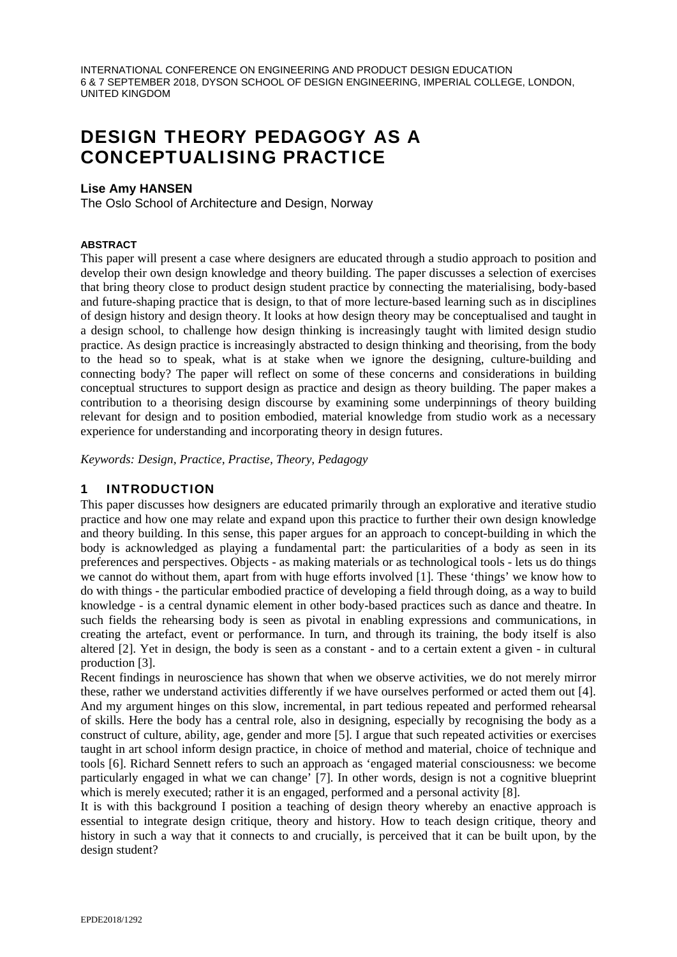# DESIGN THEORY PEDAGOGY AS A CONCEPTUALISING PRACTICE

#### **Lise Amy HANSEN**

The Oslo School of Architecture and Design, Norway

#### **ABSTRACT**

This paper will present a case where designers are educated through a studio approach to position and develop their own design knowledge and theory building. The paper discusses a selection of exercises that bring theory close to product design student practice by connecting the materialising, body-based and future-shaping practice that is design, to that of more lecture-based learning such as in disciplines of design history and design theory. It looks at how design theory may be conceptualised and taught in a design school, to challenge how design thinking is increasingly taught with limited design studio practice. As design practice is increasingly abstracted to design thinking and theorising, from the body to the head so to speak, what is at stake when we ignore the designing, culture-building and connecting body? The paper will reflect on some of these concerns and considerations in building conceptual structures to support design as practice and design as theory building. The paper makes a contribution to a theorising design discourse by examining some underpinnings of theory building relevant for design and to position embodied, material knowledge from studio work as a necessary experience for understanding and incorporating theory in design futures.

*Keywords: Design, Practice, Practise, Theory, Pedagogy* 

## 1 INTRODUCTION

This paper discusses how designers are educated primarily through an explorative and iterative studio practice and how one may relate and expand upon this practice to further their own design knowledge and theory building. In this sense, this paper argues for an approach to concept-building in which the body is acknowledged as playing a fundamental part: the particularities of a body as seen in its preferences and perspectives. Objects - as making materials or as technological tools - lets us do things we cannot do without them, apart from with huge efforts involved [1]. These 'things' we know how to do with things - the particular embodied practice of developing a field through doing, as a way to build knowledge - is a central dynamic element in other body-based practices such as dance and theatre. In such fields the rehearsing body is seen as pivotal in enabling expressions and communications, in creating the artefact, event or performance. In turn, and through its training, the body itself is also altered [2]. Yet in design, the body is seen as a constant - and to a certain extent a given - in cultural production [3].

Recent findings in neuroscience has shown that when we observe activities, we do not merely mirror these, rather we understand activities differently if we have ourselves performed or acted them out [4]. And my argument hinges on this slow, incremental, in part tedious repeated and performed rehearsal of skills. Here the body has a central role, also in designing, especially by recognising the body as a construct of culture, ability, age, gender and more [5]. I argue that such repeated activities or exercises taught in art school inform design practice, in choice of method and material, choice of technique and tools [6]. Richard Sennett refers to such an approach as 'engaged material consciousness: we become particularly engaged in what we can change' [7]. In other words, design is not a cognitive blueprint which is merely executed; rather it is an engaged, performed and a personal activity [8].

It is with this background I position a teaching of design theory whereby an enactive approach is essential to integrate design critique, theory and history. How to teach design critique, theory and history in such a way that it connects to and crucially, is perceived that it can be built upon, by the design student?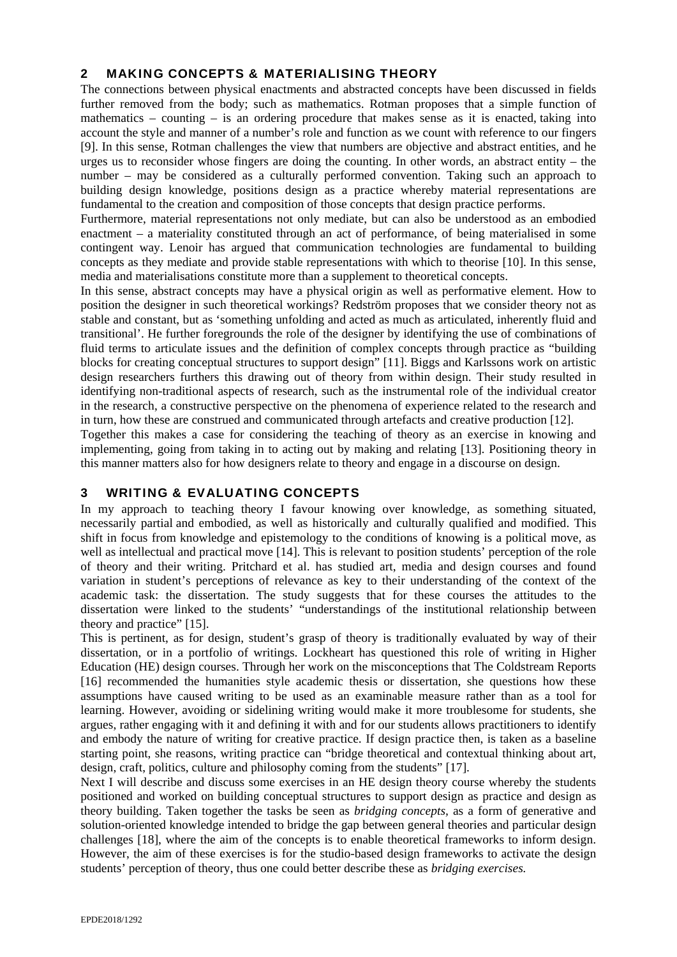# 2 MAKING CONCEPTS & MATERIALISING THEORY

The connections between physical enactments and abstracted concepts have been discussed in fields further removed from the body; such as mathematics. Rotman proposes that a simple function of mathematics – counting – is an ordering procedure that makes sense as it is enacted, taking into account the style and manner of a number's role and function as we count with reference to our fingers [9]. In this sense, Rotman challenges the view that numbers are objective and abstract entities, and he urges us to reconsider whose fingers are doing the counting. In other words, an abstract entity – the number – may be considered as a culturally performed convention. Taking such an approach to building design knowledge, positions design as a practice whereby material representations are fundamental to the creation and composition of those concepts that design practice performs.

Furthermore, material representations not only mediate, but can also be understood as an embodied enactment – a materiality constituted through an act of performance, of being materialised in some contingent way. Lenoir has argued that communication technologies are fundamental to building concepts as they mediate and provide stable representations with which to theorise [10]. In this sense, media and materialisations constitute more than a supplement to theoretical concepts.

In this sense, abstract concepts may have a physical origin as well as performative element. How to position the designer in such theoretical workings? Redström proposes that we consider theory not as stable and constant, but as 'something unfolding and acted as much as articulated, inherently fluid and transitional'. He further foregrounds the role of the designer by identifying the use of combinations of fluid terms to articulate issues and the definition of complex concepts through practice as "building blocks for creating conceptual structures to support design" [11]. Biggs and Karlssons work on artistic design researchers furthers this drawing out of theory from within design. Their study resulted in identifying non-traditional aspects of research, such as the instrumental role of the individual creator in the research, a constructive perspective on the phenomena of experience related to the research and in turn, how these are construed and communicated through artefacts and creative production [12].

Together this makes a case for considering the teaching of theory as an exercise in knowing and implementing, going from taking in to acting out by making and relating [13]. Positioning theory in this manner matters also for how designers relate to theory and engage in a discourse on design.

## 3 WRITING & EVALUATING CONCEPTS

In my approach to teaching theory I favour knowing over knowledge, as something situated, necessarily partial and embodied, as well as historically and culturally qualified and modified. This shift in focus from knowledge and epistemology to the conditions of knowing is a political move, as well as intellectual and practical move [14]. This is relevant to position students' perception of the role of theory and their writing. Pritchard et al. has studied art, media and design courses and found variation in student's perceptions of relevance as key to their understanding of the context of the academic task: the dissertation. The study suggests that for these courses the attitudes to the dissertation were linked to the students' "understandings of the institutional relationship between theory and practice" [15].

This is pertinent, as for design, student's grasp of theory is traditionally evaluated by way of their dissertation, or in a portfolio of writings. Lockheart has questioned this role of writing in Higher Education (HE) design courses. Through her work on the misconceptions that The Coldstream Reports [16] recommended the humanities style academic thesis or dissertation, she questions how these assumptions have caused writing to be used as an examinable measure rather than as a tool for learning. However, avoiding or sidelining writing would make it more troublesome for students, she argues, rather engaging with it and defining it with and for our students allows practitioners to identify and embody the nature of writing for creative practice. If design practice then, is taken as a baseline starting point, she reasons, writing practice can "bridge theoretical and contextual thinking about art, design, craft, politics, culture and philosophy coming from the students" [17].

Next I will describe and discuss some exercises in an HE design theory course whereby the students positioned and worked on building conceptual structures to support design as practice and design as theory building. Taken together the tasks be seen as *bridging concepts,* as a form of generative and solution-oriented knowledge intended to bridge the gap between general theories and particular design challenges [18], where the aim of the concepts is to enable theoretical frameworks to inform design. However, the aim of these exercises is for the studio-based design frameworks to activate the design students' perception of theory, thus one could better describe these as *bridging exercises.*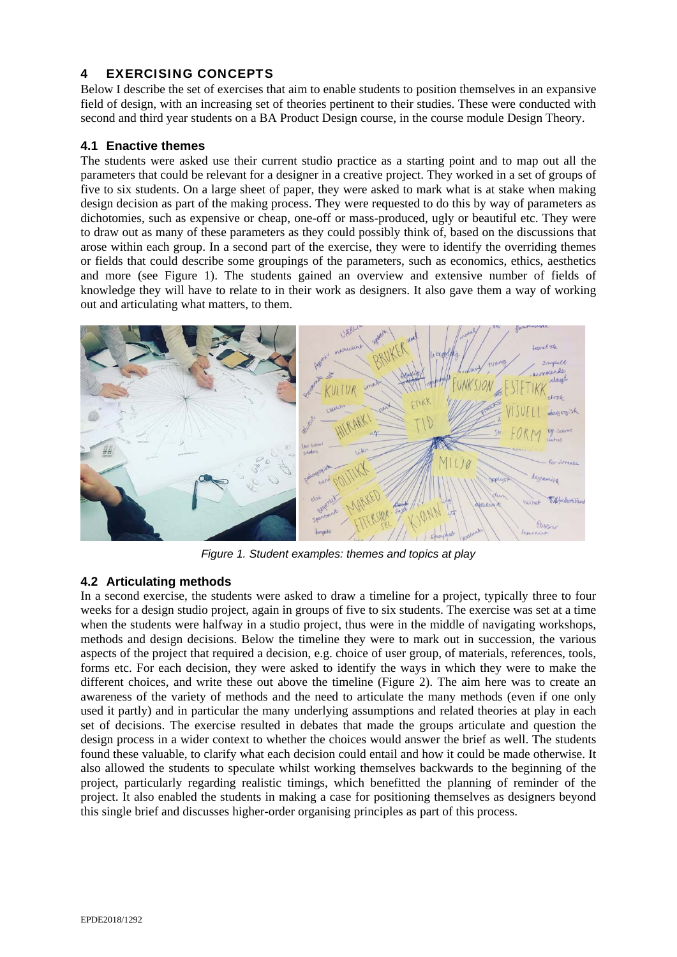# 4 EXERCISING CONCEPTS

Below I describe the set of exercises that aim to enable students to position themselves in an expansive field of design, with an increasing set of theories pertinent to their studies. These were conducted with second and third year students on a BA Product Design course, in the course module Design Theory.

### **4.1 Enactive themes**

The students were asked use their current studio practice as a starting point and to map out all the parameters that could be relevant for a designer in a creative project. They worked in a set of groups of five to six students. On a large sheet of paper, they were asked to mark what is at stake when making design decision as part of the making process. They were requested to do this by way of parameters as dichotomies, such as expensive or cheap, one-off or mass-produced, ugly or beautiful etc. They were to draw out as many of these parameters as they could possibly think of, based on the discussions that arose within each group. In a second part of the exercise, they were to identify the overriding themes or fields that could describe some groupings of the parameters, such as economics, ethics, aesthetics and more (see Figure 1). The students gained an overview and extensive number of fields of knowledge they will have to relate to in their work as designers. It also gave them a way of working out and articulating what matters, to them.



*Figure 1. Student examples: themes and topics at play* 

## **4.2 Articulating methods**

In a second exercise, the students were asked to draw a timeline for a project, typically three to four weeks for a design studio project, again in groups of five to six students. The exercise was set at a time when the students were halfway in a studio project, thus were in the middle of navigating workshops, methods and design decisions. Below the timeline they were to mark out in succession, the various aspects of the project that required a decision, e.g. choice of user group, of materials, references, tools, forms etc. For each decision, they were asked to identify the ways in which they were to make the different choices, and write these out above the timeline (Figure 2). The aim here was to create an awareness of the variety of methods and the need to articulate the many methods (even if one only used it partly) and in particular the many underlying assumptions and related theories at play in each set of decisions. The exercise resulted in debates that made the groups articulate and question the design process in a wider context to whether the choices would answer the brief as well. The students found these valuable, to clarify what each decision could entail and how it could be made otherwise. It also allowed the students to speculate whilst working themselves backwards to the beginning of the project, particularly regarding realistic timings, which benefitted the planning of reminder of the project. It also enabled the students in making a case for positioning themselves as designers beyond this single brief and discusses higher-order organising principles as part of this process.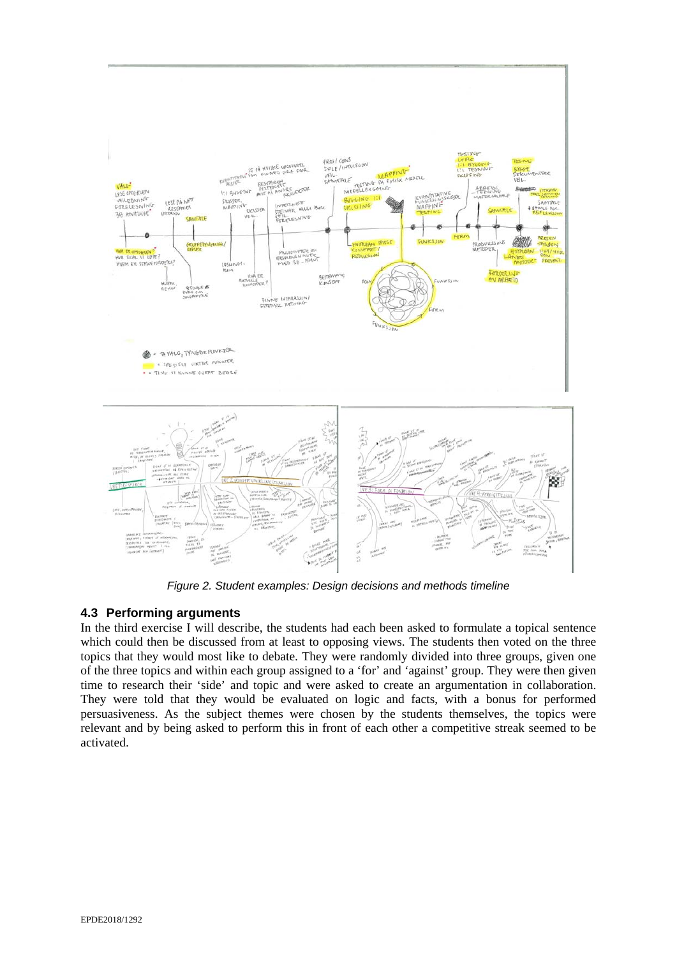

*Figure 2. Student examples: Design decisions and methods timeline* 

## **4.3 Performing arguments**

In the third exercise I will describe, the students had each been asked to formulate a topical sentence which could then be discussed from at least to opposing views. The students then voted on the three topics that they would most like to debate. They were randomly divided into three groups, given one of the three topics and within each group assigned to a 'for' and 'against' group. They were then given time to research their 'side' and topic and were asked to create an argumentation in collaboration. They were told that they would be evaluated on logic and facts, with a bonus for performed persuasiveness. As the subject themes were chosen by the students themselves, the topics were relevant and by being asked to perform this in front of each other a competitive streak seemed to be activated.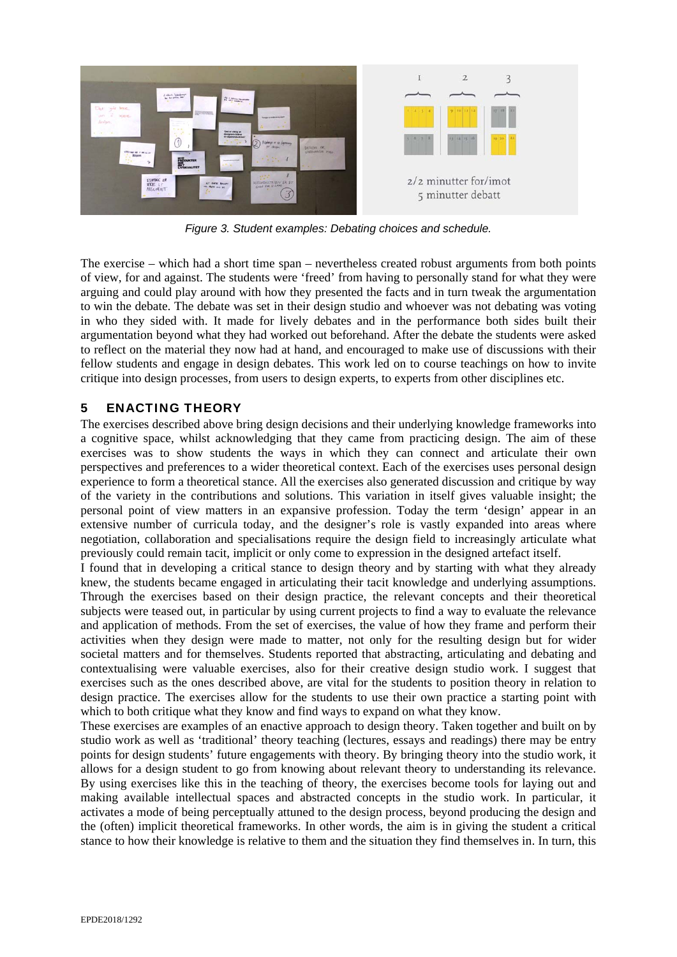

*Figure 3. Student examples: Debating choices and schedule.* 

The exercise – which had a short time span – nevertheless created robust arguments from both points of view, for and against. The students were 'freed' from having to personally stand for what they were arguing and could play around with how they presented the facts and in turn tweak the argumentation to win the debate. The debate was set in their design studio and whoever was not debating was voting in who they sided with. It made for lively debates and in the performance both sides built their argumentation beyond what they had worked out beforehand. After the debate the students were asked to reflect on the material they now had at hand, and encouraged to make use of discussions with their fellow students and engage in design debates. This work led on to course teachings on how to invite critique into design processes, from users to design experts, to experts from other disciplines etc.

## 5 ENACTING THEORY

The exercises described above bring design decisions and their underlying knowledge frameworks into a cognitive space, whilst acknowledging that they came from practicing design. The aim of these exercises was to show students the ways in which they can connect and articulate their own perspectives and preferences to a wider theoretical context. Each of the exercises uses personal design experience to form a theoretical stance. All the exercises also generated discussion and critique by way of the variety in the contributions and solutions. This variation in itself gives valuable insight; the personal point of view matters in an expansive profession. Today the term 'design' appear in an extensive number of curricula today, and the designer's role is vastly expanded into areas where negotiation, collaboration and specialisations require the design field to increasingly articulate what previously could remain tacit, implicit or only come to expression in the designed artefact itself.

I found that in developing a critical stance to design theory and by starting with what they already knew, the students became engaged in articulating their tacit knowledge and underlying assumptions. Through the exercises based on their design practice, the relevant concepts and their theoretical subjects were teased out, in particular by using current projects to find a way to evaluate the relevance and application of methods. From the set of exercises, the value of how they frame and perform their activities when they design were made to matter, not only for the resulting design but for wider societal matters and for themselves. Students reported that abstracting, articulating and debating and contextualising were valuable exercises, also for their creative design studio work. I suggest that exercises such as the ones described above, are vital for the students to position theory in relation to design practice. The exercises allow for the students to use their own practice a starting point with which to both critique what they know and find ways to expand on what they know.

These exercises are examples of an enactive approach to design theory. Taken together and built on by studio work as well as 'traditional' theory teaching (lectures, essays and readings) there may be entry points for design students' future engagements with theory. By bringing theory into the studio work, it allows for a design student to go from knowing about relevant theory to understanding its relevance. By using exercises like this in the teaching of theory, the exercises become tools for laying out and making available intellectual spaces and abstracted concepts in the studio work. In particular, it activates a mode of being perceptually attuned to the design process, beyond producing the design and the (often) implicit theoretical frameworks. In other words, the aim is in giving the student a critical stance to how their knowledge is relative to them and the situation they find themselves in. In turn, this